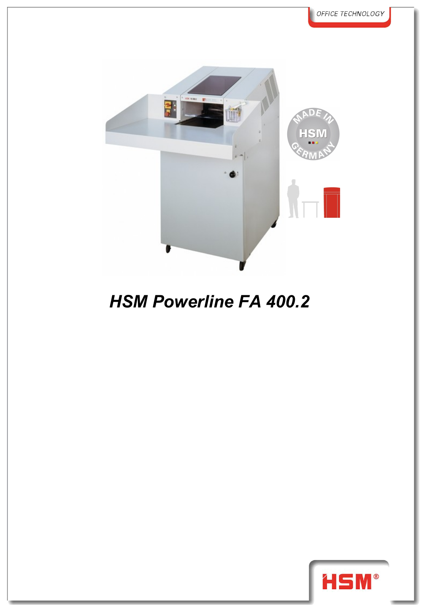

## *HSM Powerline FA 400.2*

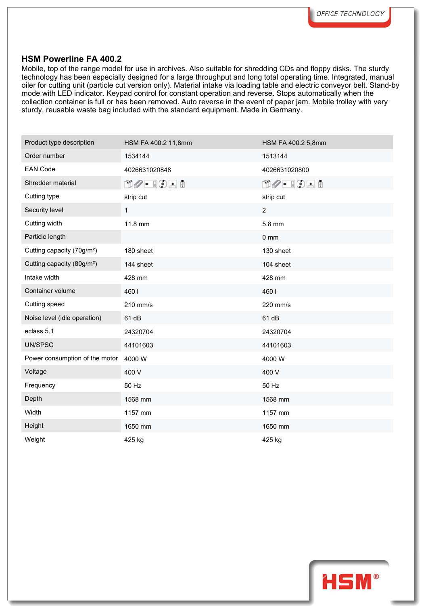## **HSM Powerline FA 400.2**

Mobile, top of the range model for use in archives. Also suitable for shredding CDs and floppy disks. The sturdy technology has been especially designed for a large throughput and long total operating time. Integrated, manual oiler for cutting unit (particle cut version only). Material intake via loading table and electric conveyor belt. Stand-by mode with LED indicator. Keypad control for constant operation and reverse. Stops automatically when the collection container is full or has been removed. Auto reverse in the event of paper jam. Mobile trolley with very sturdy, reusable waste bag included with the standard equipment. Made in Germany.

| Product type description               | HSM FA 400.2 11,8mm                                             | HSM FA 400.2 5,8mm                                                                                                                                                                                                                                                                                                                                  |
|----------------------------------------|-----------------------------------------------------------------|-----------------------------------------------------------------------------------------------------------------------------------------------------------------------------------------------------------------------------------------------------------------------------------------------------------------------------------------------------|
| Order number                           | 1534144                                                         | 1513144                                                                                                                                                                                                                                                                                                                                             |
| <b>EAN Code</b>                        | 4026631020848                                                   | 4026631020800                                                                                                                                                                                                                                                                                                                                       |
| Shredder material                      | $\mathbb{D}\mathscr{O}$ . $\mathbb{I}\mathbb{O}$ . $\mathbb{I}$ | $\begin{picture}(15,14) \put(0,0){\line(1,0){10}} \put(15,0){\line(1,0){10}} \put(15,0){\line(1,0){10}} \put(15,0){\line(1,0){10}} \put(15,0){\line(1,0){10}} \put(15,0){\line(1,0){10}} \put(15,0){\line(1,0){10}} \put(15,0){\line(1,0){10}} \put(15,0){\line(1,0){10}} \put(15,0){\line(1,0){10}} \put(15,0){\line(1,0){10}} \put(15,0){\line(1$ |
| Cutting type                           | strip cut                                                       | strip cut                                                                                                                                                                                                                                                                                                                                           |
| Security level                         | $\mathbf{1}$                                                    | $\overline{2}$                                                                                                                                                                                                                                                                                                                                      |
| Cutting width                          | 11.8 mm                                                         | 5.8 mm                                                                                                                                                                                                                                                                                                                                              |
| Particle length                        |                                                                 | $0 \text{ mm}$                                                                                                                                                                                                                                                                                                                                      |
| Cutting capacity (70g/m <sup>2</sup> ) | 180 sheet                                                       | 130 sheet                                                                                                                                                                                                                                                                                                                                           |
| Cutting capacity (80g/m <sup>2</sup> ) | 144 sheet                                                       | 104 sheet                                                                                                                                                                                                                                                                                                                                           |
| Intake width                           | 428 mm                                                          | 428 mm                                                                                                                                                                                                                                                                                                                                              |
| Container volume                       | 4601                                                            | 4601                                                                                                                                                                                                                                                                                                                                                |
| Cutting speed                          | 210 mm/s                                                        | 220 mm/s                                                                                                                                                                                                                                                                                                                                            |
| Noise level (idle operation)           | 61 dB                                                           | 61 dB                                                                                                                                                                                                                                                                                                                                               |
| eclass 5.1                             | 24320704                                                        | 24320704                                                                                                                                                                                                                                                                                                                                            |
| UN/SPSC                                | 44101603                                                        | 44101603                                                                                                                                                                                                                                                                                                                                            |
| Power consumption of the motor         | 4000 W                                                          | 4000W                                                                                                                                                                                                                                                                                                                                               |
| Voltage                                | 400 V                                                           | 400 V                                                                                                                                                                                                                                                                                                                                               |
| Frequency                              | 50 Hz                                                           | 50 Hz                                                                                                                                                                                                                                                                                                                                               |
| Depth                                  | 1568 mm                                                         | 1568 mm                                                                                                                                                                                                                                                                                                                                             |
| Width                                  | 1157 mm                                                         | 1157 mm                                                                                                                                                                                                                                                                                                                                             |
| Height                                 | 1650 mm                                                         | 1650 mm                                                                                                                                                                                                                                                                                                                                             |
| Weight                                 | 425 kg                                                          | 425 kg                                                                                                                                                                                                                                                                                                                                              |
|                                        |                                                                 |                                                                                                                                                                                                                                                                                                                                                     |